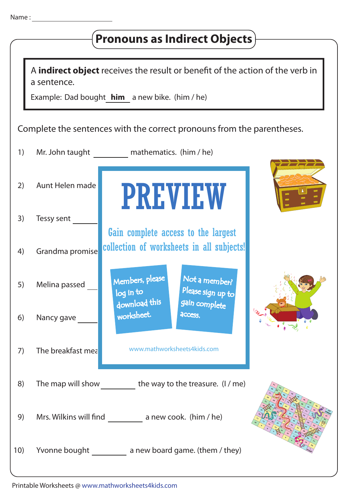